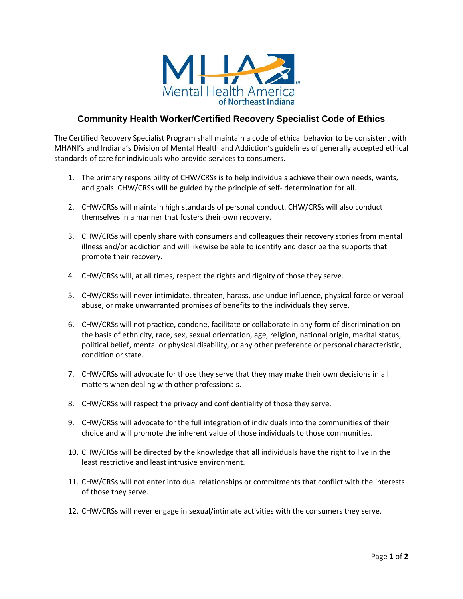

## **Community Health Worker/Certified Recovery Specialist Code of Ethics**

The Certified Recovery Specialist Program shall maintain a code of ethical behavior to be consistent with MHANI's and Indiana's Division of Mental Health and Addiction's guidelines of generally accepted ethical standards of care for individuals who provide services to consumers.

- 1. The primary responsibility of CHW/CRSs is to help individuals achieve their own needs, wants, and goals. CHW/CRSs will be guided by the principle of self‐ determination for all.
- 2. CHW/CRSs will maintain high standards of personal conduct. CHW/CRSs will also conduct themselves in a manner that fosters their own recovery.
- 3. CHW/CRSs will openly share with consumers and colleagues their recovery stories from mental illness and/or addiction and will likewise be able to identify and describe the supports that promote their recovery.
- 4. CHW/CRSs will, at all times, respect the rights and dignity of those they serve.
- 5. CHW/CRSs will never intimidate, threaten, harass, use undue influence, physical force or verbal abuse, or make unwarranted promises of benefits to the individuals they serve.
- 6. CHW/CRSs will not practice, condone, facilitate or collaborate in any form of discrimination on the basis of ethnicity, race, sex, sexual orientation, age, religion, national origin, marital status, political belief, mental or physical disability, or any other preference or personal characteristic, condition or state.
- 7. CHW/CRSs will advocate for those they serve that they may make their own decisions in all matters when dealing with other professionals.
- 8. CHW/CRSs will respect the privacy and confidentiality of those they serve.
- 9. CHW/CRSs will advocate for the full integration of individuals into the communities of their choice and will promote the inherent value of those individuals to those communities.
- 10. CHW/CRSs will be directed by the knowledge that all individuals have the right to live in the least restrictive and least intrusive environment.
- 11. CHW/CRSs will not enter into dual relationships or commitments that conflict with the interests of those they serve.
- 12. CHW/CRSs will never engage in sexual/intimate activities with the consumers they serve.